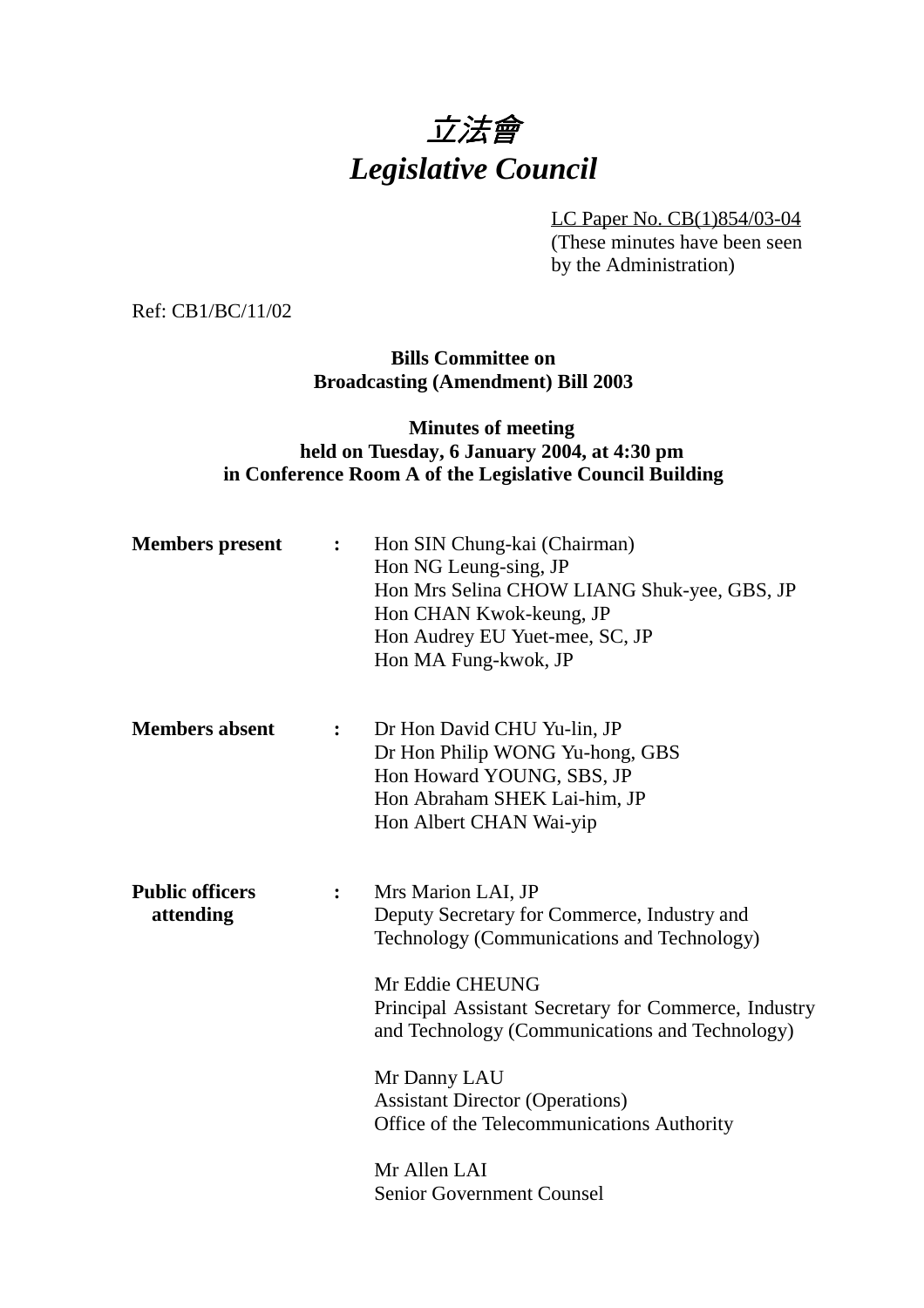

LC Paper No. CB(1)854/03-04

(These minutes have been seen by the Administration)

Ref: CB1/BC/11/02

**Bills Committee on Broadcasting (Amendment) Bill 2003**

## **Minutes of meeting held on Tuesday, 6 January 2004, at 4:30 pm in Conference Room A of the Legislative Council Building**

| <b>Members</b> present              | $\ddot{\cdot}$ | Hon SIN Chung-kai (Chairman)<br>Hon NG Leung-sing, JP<br>Hon Mrs Selina CHOW LIANG Shuk-yee, GBS, JP<br>Hon CHAN Kwok-keung, JP<br>Hon Audrey EU Yuet-mee, SC, JP<br>Hon MA Fung-kwok, JP                                                                                                                                                                                                                |
|-------------------------------------|----------------|----------------------------------------------------------------------------------------------------------------------------------------------------------------------------------------------------------------------------------------------------------------------------------------------------------------------------------------------------------------------------------------------------------|
| <b>Members absent</b>               | $\ddot{\cdot}$ | Dr Hon David CHU Yu-lin, JP<br>Dr Hon Philip WONG Yu-hong, GBS<br>Hon Howard YOUNG, SBS, JP<br>Hon Abraham SHEK Lai-him, JP<br>Hon Albert CHAN Wai-yip                                                                                                                                                                                                                                                   |
| <b>Public officers</b><br>attending | $\ddot{\cdot}$ | Mrs Marion LAI, JP<br>Deputy Secretary for Commerce, Industry and<br>Technology (Communications and Technology)<br>Mr Eddie CHEUNG<br>Principal Assistant Secretary for Commerce, Industry<br>and Technology (Communications and Technology)<br>Mr Danny LAU<br><b>Assistant Director (Operations)</b><br>Office of the Telecommunications Authority<br>Mr Allen LAI<br><b>Senior Government Counsel</b> |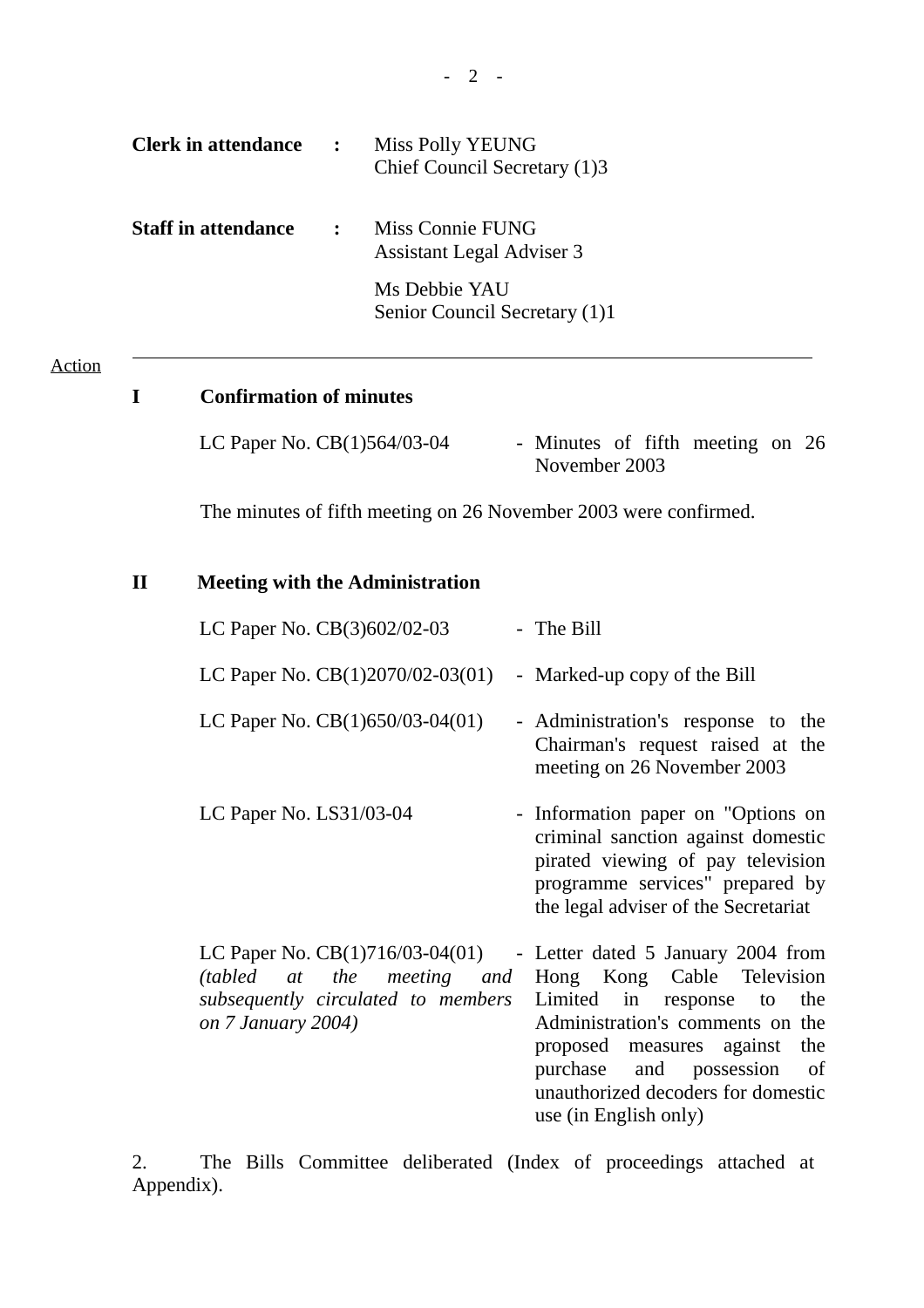| <b>Clerk in attendance</b> | $\mathbf{L}$ | Miss Polly YEUNG<br>Chief Council Secretary (1)3     |
|----------------------------|--------------|------------------------------------------------------|
| <b>Staff in attendance</b> |              | Miss Connie FUNG<br><b>Assistant Legal Adviser 3</b> |
|                            |              | Ms Debbie YAU<br>Senior Council Secretary (1)1       |

### Action

 $\overline{a}$ 

## **I Confirmation of minutes**

| LC Paper No. $CB(1)564/03-04$ | - Minutes of fifth meeting on 26 |  |  |  |
|-------------------------------|----------------------------------|--|--|--|
|                               | November 2003                    |  |  |  |

The minutes of fifth meeting on 26 November 2003 were confirmed.

# **II Meeting with the Administration**

| LC Paper No. $CB(3)602/02-03$                                                                                                                                  | - The Bill                                                                                                                                                                                                                       |
|----------------------------------------------------------------------------------------------------------------------------------------------------------------|----------------------------------------------------------------------------------------------------------------------------------------------------------------------------------------------------------------------------------|
| LC Paper No. $CB(1)2070/02-03(01)$                                                                                                                             | - Marked-up copy of the Bill                                                                                                                                                                                                     |
| LC Paper No. $CB(1)650/03-04(01)$                                                                                                                              | - Administration's response to the<br>Chairman's request raised at the<br>meeting on 26 November 2003                                                                                                                            |
| LC Paper No. $LS31/03-04$                                                                                                                                      | - Information paper on "Options on<br>criminal sanction against domestic<br>pirated viewing of pay television<br>programme services" prepared by<br>the legal adviser of the Secretariat                                         |
| LC Paper No. $CB(1)716/03-04(01)$ - Letter dated 5 January 2004 from<br>(tabled at the meeting and<br>subsequently circulated to members<br>on 7 January 2004) | Hong Kong Cable Television<br>Limited in response to<br>the<br>Administration's comments on the<br>proposed measures against the<br>purchase and possession<br>of<br>unauthorized decoders for domestic<br>use (in English only) |

2. The Bills Committee deliberated (Index of proceedings attached at Appendix).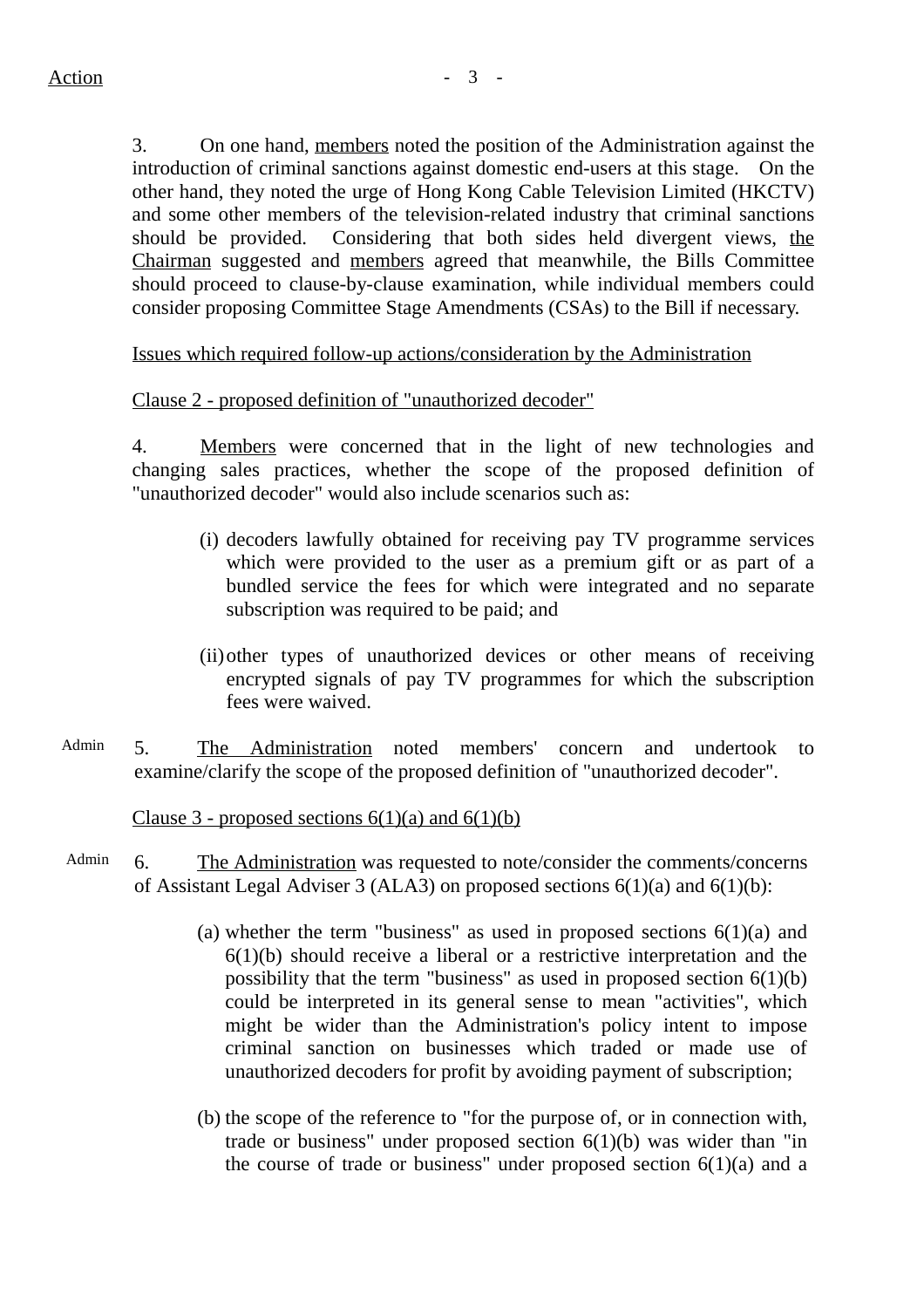3. On one hand, members noted the position of the Administration against the introduction of criminal sanctions against domestic end-users at this stage. On the other hand, they noted the urge of Hong Kong Cable Television Limited (HKCTV) and some other members of the television-related industry that criminal sanctions should be provided. Considering that both sides held divergent views, the Chairman suggested and members agreed that meanwhile, the Bills Committee should proceed to clause-by-clause examination, while individual members could consider proposing Committee Stage Amendments (CSAs) to the Bill if necessary.

Issues which required follow-up actions/consideration by the Administration

### Clause 2 - proposed definition of "unauthorized decoder"

4. Members were concerned that in the light of new technologies and changing sales practices, whether the scope of the proposed definition of "unauthorized decoder" would also include scenarios such as:

- (i) decoders lawfully obtained for receiving pay TV programme services which were provided to the user as a premium gift or as part of a bundled service the fees for which were integrated and no separate subscription was required to be paid; and
- (ii)other types of unauthorized devices or other means of receiving encrypted signals of pay TV programmes for which the subscription fees were waived.
- Admin 5. The Administration noted members' concern and undertook to examine/clarify the scope of the proposed definition of "unauthorized decoder".

Clause 3 - proposed sections  $6(1)(a)$  and  $6(1)(b)$ 

- Admin 6. The Administration was requested to note/consider the comments/concerns of Assistant Legal Adviser 3 (ALA3) on proposed sections 6(1)(a) and 6(1)(b):
	- (a) whether the term "business" as used in proposed sections  $6(1)(a)$  and  $6(1)(b)$  should receive a liberal or a restrictive interpretation and the possibility that the term "business" as used in proposed section  $6(1)(b)$ could be interpreted in its general sense to mean "activities", which might be wider than the Administration's policy intent to impose criminal sanction on businesses which traded or made use of unauthorized decoders for profit by avoiding payment of subscription;
	- (b) the scope of the reference to "for the purpose of, or in connection with, trade or business" under proposed section  $6(1)(b)$  was wider than "in the course of trade or business" under proposed section 6(1)(a) and a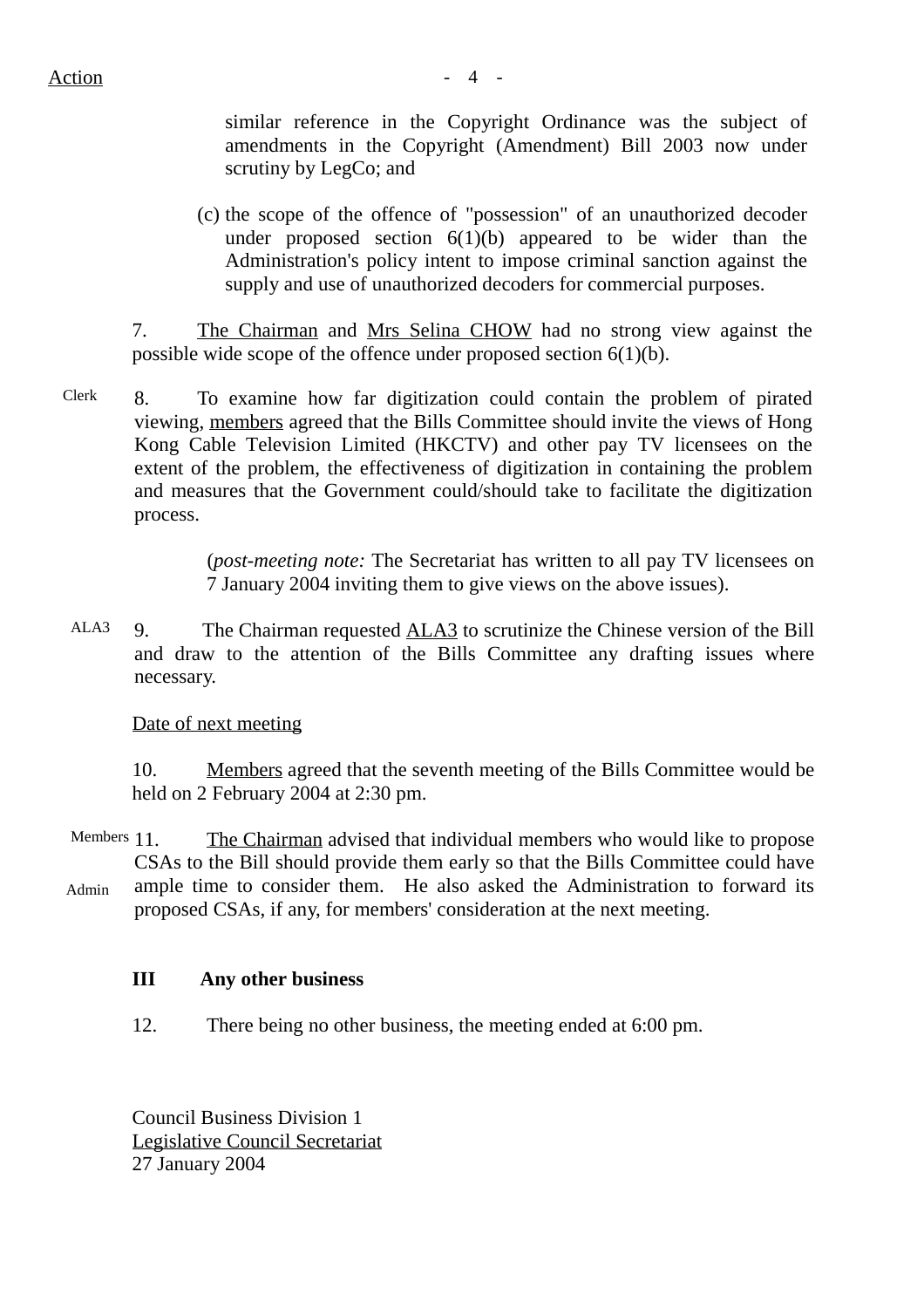$Action$   $-4$   $-$ 

similar reference in the Copyright Ordinance was the subject of amendments in the Copyright (Amendment) Bill 2003 now under scrutiny by LegCo; and

(c) the scope of the offence of "possession" of an unauthorized decoder under proposed section  $6(1)(b)$  appeared to be wider than the Administration's policy intent to impose criminal sanction against the supply and use of unauthorized decoders for commercial purposes.

7. The Chairman and Mrs Selina CHOW had no strong view against the possible wide scope of the offence under proposed section 6(1)(b).

Clerk 8. To examine how far digitization could contain the problem of pirated viewing, members agreed that the Bills Committee should invite the views of Hong Kong Cable Television Limited (HKCTV) and other pay TV licensees on the extent of the problem, the effectiveness of digitization in containing the problem and measures that the Government could/should take to facilitate the digitization process.

> (*post-meeting note:* The Secretariat has written to all pay TV licensees on 7 January 2004 inviting them to give views on the above issues).

 ALA3 9. The Chairman requested ALA3 to scrutinize the Chinese version of the Bill and draw to the attention of the Bills Committee any drafting issues where necessary.

Date of next meeting

10. Members agreed that the seventh meeting of the Bills Committee would be held on 2 February 2004 at 2:30 pm.

Members 11 Admin The Chairman advised that individual members who would like to propose CSAs to the Bill should provide them early so that the Bills Committee could have ample time to consider them. He also asked the Administration to forward its proposed CSAs, if any, for members' consideration at the next meeting.

## **III Any other business**

12. There being no other business, the meeting ended at 6:00 pm.

Council Business Division 1 Legislative Council Secretariat 27 January 2004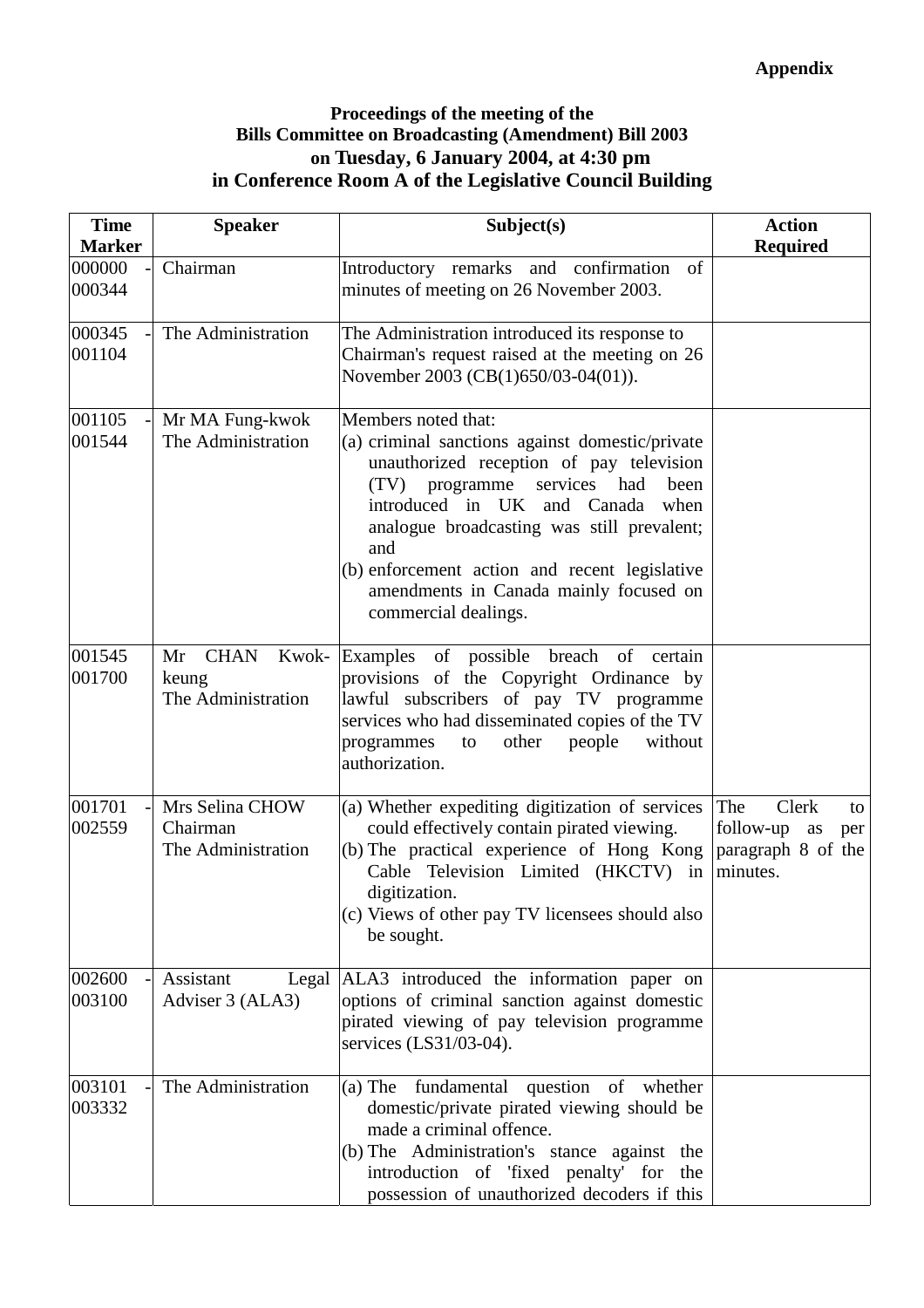## **Proceedings of the meeting of the Bills Committee on Broadcasting (Amendment) Bill 2003 on Tuesday, 6 January 2004, at 4:30 pm in Conference Room A of the Legislative Council Building**

| <b>Time</b>      | <b>Speaker</b>                                            | Subject(s)                                                                                                                                                                                                                                                                                                                                                                  | <b>Action</b>                                                                  |
|------------------|-----------------------------------------------------------|-----------------------------------------------------------------------------------------------------------------------------------------------------------------------------------------------------------------------------------------------------------------------------------------------------------------------------------------------------------------------------|--------------------------------------------------------------------------------|
| <b>Marker</b>    |                                                           |                                                                                                                                                                                                                                                                                                                                                                             | <b>Required</b>                                                                |
| 000000<br>000344 | Chairman                                                  | Introductory remarks and confirmation<br>of<br>minutes of meeting on 26 November 2003.                                                                                                                                                                                                                                                                                      |                                                                                |
| 000345<br>001104 | The Administration                                        | The Administration introduced its response to<br>Chairman's request raised at the meeting on 26<br>November 2003 (CB(1)650/03-04(01)).                                                                                                                                                                                                                                      |                                                                                |
| 001105<br>001544 | Mr MA Fung-kwok<br>The Administration                     | Members noted that:<br>(a) criminal sanctions against domestic/private<br>unauthorized reception of pay television<br>programme<br>services had<br>(TV)<br>been<br>introduced in UK and Canada when<br>analogue broadcasting was still prevalent;<br>and<br>(b) enforcement action and recent legislative<br>amendments in Canada mainly focused on<br>commercial dealings. |                                                                                |
| 001545<br>001700 | <b>CHAN</b><br>Kwok-<br>Mr<br>keung<br>The Administration | Examples of possible breach of certain<br>provisions of the Copyright Ordinance by<br>lawful subscribers of pay TV programme<br>services who had disseminated copies of the TV<br>other<br>without<br>programmes<br>people<br>to<br>authorization.                                                                                                                          |                                                                                |
| 001701<br>002559 | Mrs Selina CHOW<br>Chairman<br>The Administration         | (a) Whether expediting digitization of services<br>could effectively contain pirated viewing.<br>(b) The practical experience of Hong Kong<br>Cable Television Limited (HKCTV) in<br>digitization.<br>(c) Views of other pay TV licensees should also<br>be sought.                                                                                                         | The<br>Clerk<br>to<br>follow-up<br>as<br>per<br>paragraph 8 of the<br>minutes. |
| 002600<br>003100 | Assistant<br>Adviser 3 (ALA3)                             | Legal ALA3 introduced the information paper on<br>options of criminal sanction against domestic<br>pirated viewing of pay television programme<br>services (LS31/03-04).                                                                                                                                                                                                    |                                                                                |
| 003101<br>003332 | The Administration                                        | fundamental question of whether<br>$(a)$ The<br>domestic/private pirated viewing should be<br>made a criminal offence.<br>(b) The Administration's stance against the<br>introduction of 'fixed penalty' for the<br>possession of unauthorized decoders if this                                                                                                             |                                                                                |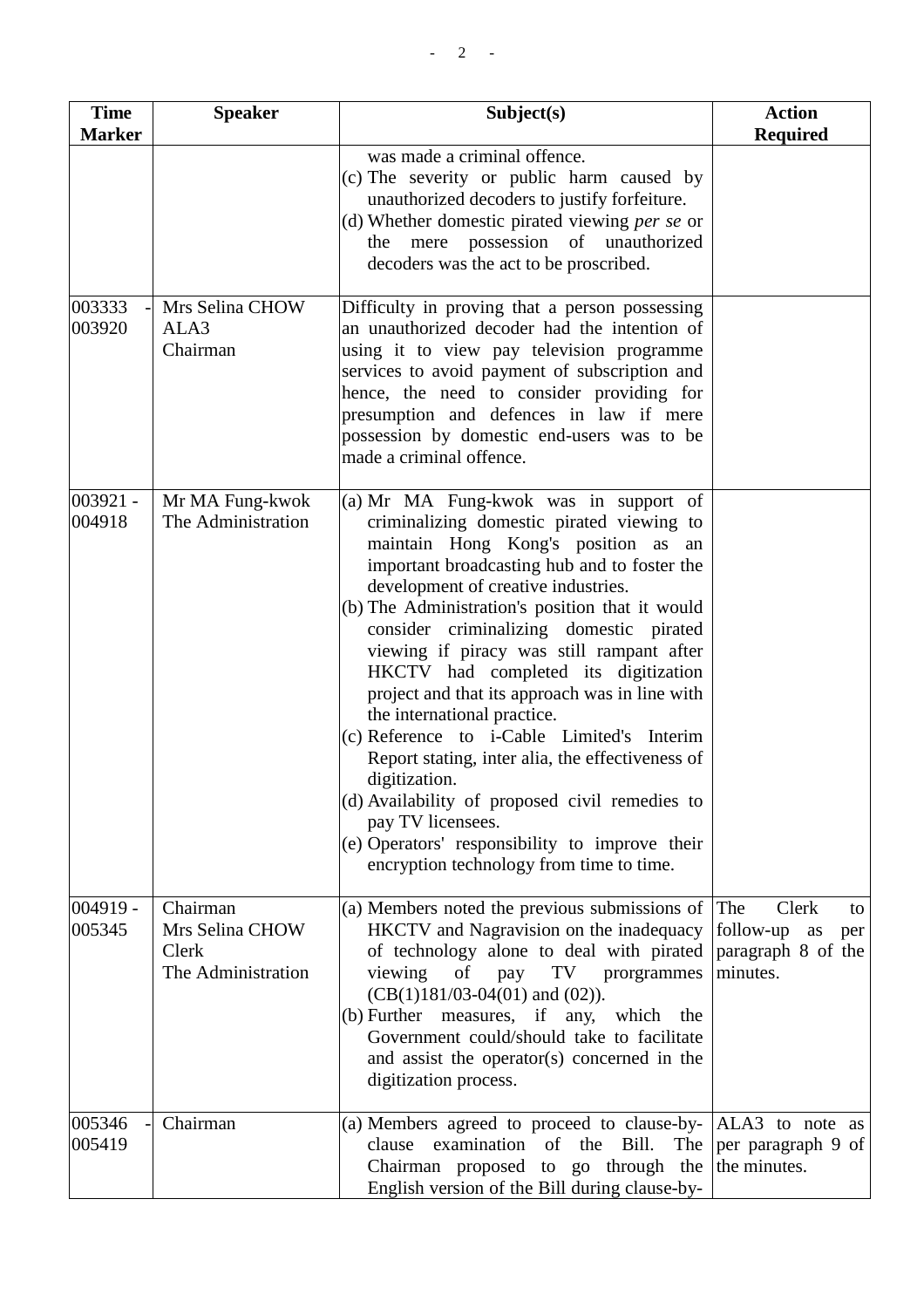| <b>Time</b>          | <b>Speaker</b>                                             | Subject(s)                                                                                                                                                                                                                                                                                                                                                                                                                                                                                                                                                                                                                                                                                                                                                                      | <b>Action</b>                                                           |
|----------------------|------------------------------------------------------------|---------------------------------------------------------------------------------------------------------------------------------------------------------------------------------------------------------------------------------------------------------------------------------------------------------------------------------------------------------------------------------------------------------------------------------------------------------------------------------------------------------------------------------------------------------------------------------------------------------------------------------------------------------------------------------------------------------------------------------------------------------------------------------|-------------------------------------------------------------------------|
| <b>Marker</b>        |                                                            |                                                                                                                                                                                                                                                                                                                                                                                                                                                                                                                                                                                                                                                                                                                                                                                 | <b>Required</b>                                                         |
|                      |                                                            | was made a criminal offence.<br>(c) The severity or public harm caused by<br>unauthorized decoders to justify forfeiture.<br>(d) Whether domestic pirated viewing <i>per se</i> or<br>the mere possession of unauthorized<br>decoders was the act to be proscribed.                                                                                                                                                                                                                                                                                                                                                                                                                                                                                                             |                                                                         |
| 003333<br>003920     | Mrs Selina CHOW<br>ALA3<br>Chairman                        | Difficulty in proving that a person possessing<br>an unauthorized decoder had the intention of<br>using it to view pay television programme<br>services to avoid payment of subscription and<br>hence, the need to consider providing for<br>presumption and defences in law if mere<br>possession by domestic end-users was to be<br>made a criminal offence.                                                                                                                                                                                                                                                                                                                                                                                                                  |                                                                         |
| $003921 -$<br>004918 | Mr MA Fung-kwok<br>The Administration                      | (a) Mr MA Fung-kwok was in support of<br>criminalizing domestic pirated viewing to<br>maintain Hong Kong's position as<br>an<br>important broadcasting hub and to foster the<br>development of creative industries.<br>(b) The Administration's position that it would<br>consider criminalizing domestic pirated<br>viewing if piracy was still rampant after<br>HKCTV had completed its digitization<br>project and that its approach was in line with<br>the international practice.<br>(c) Reference to i-Cable Limited's Interim<br>Report stating, inter alia, the effectiveness of<br>digitization.<br>(d) Availability of proposed civil remedies to<br>pay TV licensees.<br>(e) Operators' responsibility to improve their<br>encryption technology from time to time. |                                                                         |
| $004919 -$<br>005345 | Chairman<br>Mrs Selina CHOW<br>Clerk<br>The Administration | (a) Members noted the previous submissions of $ $ The<br>HKCTV and Nagravision on the inadequacy<br>of technology alone to deal with pirated<br>viewing<br>of pay<br>TV prorgrammes<br>$(CB(1)181/03-04(01)$ and $(02)$ ).<br>(b) Further measures, if any,<br>which<br>the<br>Government could/should take to facilitate<br>and assist the operator(s) concerned in the<br>digitization process.                                                                                                                                                                                                                                                                                                                                                                               | Clerk<br>to<br>follow-up<br>as<br>per<br>paragraph 8 of the<br>minutes. |
| 005346<br>005419     | Chairman                                                   | (a) Members agreed to proceed to clause-by-<br>examination of the Bill.<br>clause<br>The<br>Chairman proposed to go through the<br>English version of the Bill during clause-by-                                                                                                                                                                                                                                                                                                                                                                                                                                                                                                                                                                                                | $ALA3$ to note as<br>per paragraph 9 of<br>the minutes.                 |